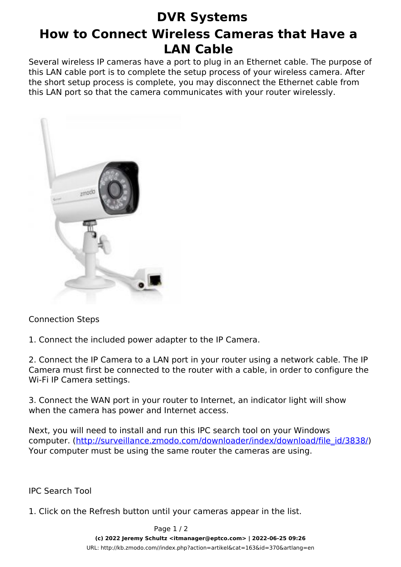## **DVR Systems How to Connect Wireless Cameras that Have a LAN Cable**

Several wireless IP cameras have a port to plug in an Ethernet cable. The purpose of this LAN cable port is to complete the setup process of your wireless camera. After the short setup process is complete, you may disconnect the Ethernet cable from this LAN port so that the camera communicates with your router wirelessly.



Connection Steps

1. Connect the included power adapter to the IP Camera.

2. Connect the IP Camera to a LAN port in your router using a network cable. The IP Camera must first be connected to the router with a cable, in order to configure the Wi-Fi IP Camera settings.

3. Connect the WAN port in your router to Internet, an indicator light will show when the camera has power and Internet access.

Next, you will need to install and run this IPC search tool on your Windows computer. ([http://surveillance.zmodo.com/downloader/index/download/file\\_id/3838/\)](http://surveillance.zmodo.com/downloader/index/download/file_id/3838/) Your computer must be using the same router the cameras are using.

IPC Search Tool

1. Click on the Refresh button until your cameras appear in the list.

Page 1 / 2

**(c) 2022 Jeremy Schultz <itmanager@eptco.com> | 2022-06-25 09:26**

[URL: http://kb.zmodo.com//index.php?action=artikel&cat=163&id=370&artlang=en](http://kb.zmodo.com//index.php?action=artikel&cat=163&id=370&artlang=en)